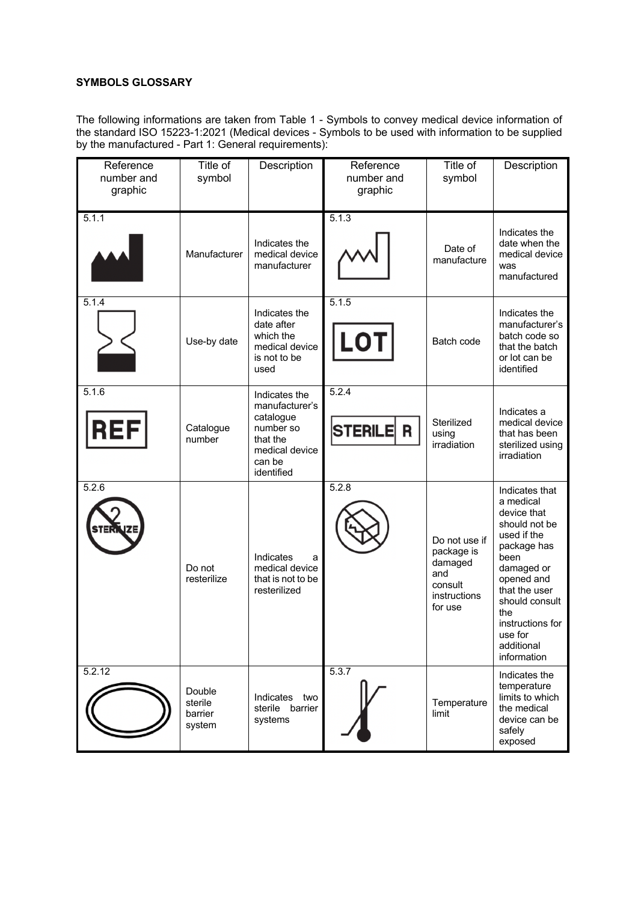## **SYMBOLS GLOSSARY**

The following informations are taken from Table 1 - Symbols to convey medical device information of the standard ISO 15223-1:2021 (Medical devices - Symbols to be used with information to be supplied by the manufactured - Part 1: General requirements):

| Reference<br>number and<br>graphic | Title of<br>symbol                     | Description                                                                                                     | Reference<br>number and<br>graphic | Title of<br>symbol                                                                  | Description                                                                                                                                                                                                                         |
|------------------------------------|----------------------------------------|-----------------------------------------------------------------------------------------------------------------|------------------------------------|-------------------------------------------------------------------------------------|-------------------------------------------------------------------------------------------------------------------------------------------------------------------------------------------------------------------------------------|
| 5.1.1                              | Manufacturer                           | Indicates the<br>medical device<br>manufacturer                                                                 | 5.1.3                              | Date of<br>manufacture                                                              | Indicates the<br>date when the<br>medical device<br>was<br>manufactured                                                                                                                                                             |
| 5.1.4                              | Use-by date                            | Indicates the<br>date after<br>which the<br>medical device<br>is not to be<br>used                              | 5.1.5<br><b>LOT</b>                | Batch code                                                                          | Indicates the<br>manufacturer's<br>batch code so<br>that the batch<br>or lot can be<br>identified                                                                                                                                   |
| 5.1.6<br>REF                       | Catalogue<br>number                    | Indicates the<br>manufacturer's<br>catalogue<br>number so<br>that the<br>medical device<br>can be<br>identified | 5.2.4<br><b>STERILE</b><br>R       | Sterilized<br>using<br>irradiation                                                  | Indicates a<br>medical device<br>that has been<br>sterilized using<br>irradiation                                                                                                                                                   |
| 5.2.6                              | Do not<br>resterilize                  | Indicates<br>a<br>medical device<br>that is not to be<br>resterilized                                           | 5.2.8                              | Do not use if<br>package is<br>damaged<br>and<br>consult<br>instructions<br>for use | Indicates that<br>a medical<br>device that<br>should not be<br>used if the<br>package has<br>been<br>damaged or<br>opened and<br>that the user<br>should consult<br>the<br>instructions for<br>use for<br>additional<br>information |
| 5.2.12                             | Double<br>sterile<br>barrier<br>system | Indicates<br>two<br>sterile barrier<br>systems                                                                  | 5.3.7                              | Temperature<br>limit                                                                | Indicates the<br>temperature<br>limits to which<br>the medical<br>device can be<br>safely<br>exposed                                                                                                                                |